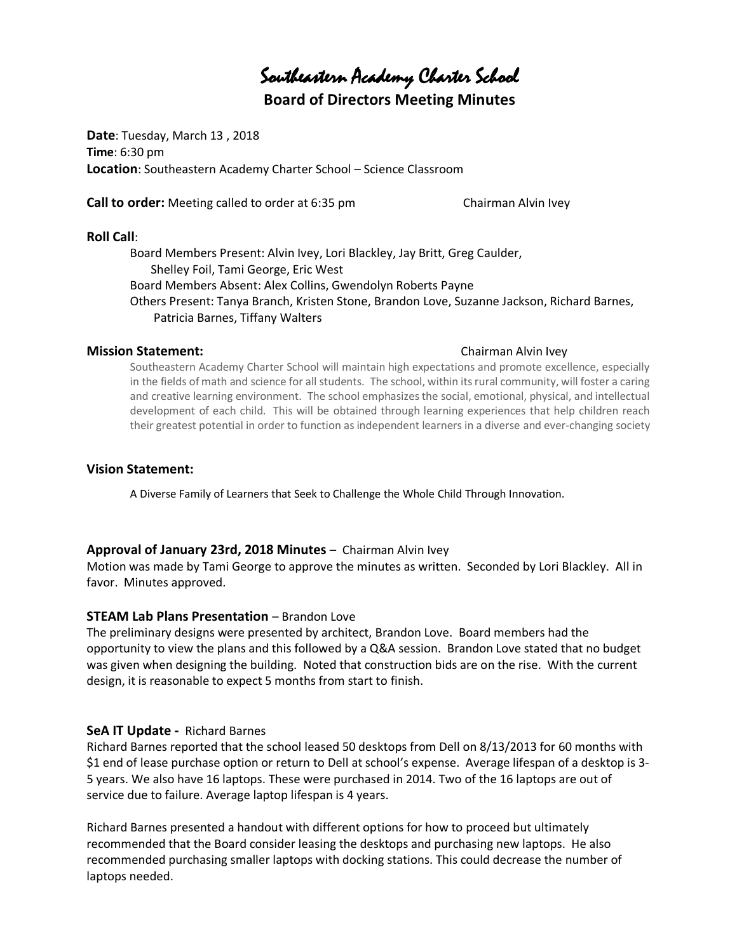Southeastern Academy Charter School

# **Board of Directors Meeting Minutes**

**Date**: Tuesday, March 13 , 2018 **Time**: 6:30 pm **Location**: Southeastern Academy Charter School – Science Classroom

**Call to order:** Meeting called to order at 6:35 pm Chairman Alvin Ivey

#### **Roll Call**:

Board Members Present: Alvin Ivey, Lori Blackley, Jay Britt, Greg Caulder, Shelley Foil, Tami George, Eric West Board Members Absent: Alex Collins, Gwendolyn Roberts Payne Others Present: Tanya Branch, Kristen Stone, Brandon Love, Suzanne Jackson, Richard Barnes, Patricia Barnes, Tiffany Walters

#### **Mission Statement:** Chairman Alvin Ivey

Southeastern Academy Charter School will maintain high expectations and promote excellence, especially in the fields of math and science for all students. The school, within its rural community, will foster a caring and creative learning environment. The school emphasizes the social, emotional, physical, and intellectual development of each child. This will be obtained through learning experiences that help children reach their greatest potential in order to function as independent learners in a diverse and ever-changing society

#### **Vision Statement:**

A Diverse Family of Learners that Seek to Challenge the Whole Child Through Innovation.

#### **Approval of January 23rd, 2018 Minutes** – Chairman Alvin Ivey

Motion was made by Tami George to approve the minutes as written. Seconded by Lori Blackley. All in favor. Minutes approved.

#### **STEAM Lab Plans Presentation** – Brandon Love

The preliminary designs were presented by architect, Brandon Love. Board members had the opportunity to view the plans and this followed by a Q&A session. Brandon Love stated that no budget was given when designing the building. Noted that construction bids are on the rise. With the current design, it is reasonable to expect 5 months from start to finish.

#### **SeA IT Update -** Richard Barnes

Richard Barnes reported that the school leased 50 desktops from Dell on 8/13/2013 for 60 months with \$1 end of lease purchase option or return to Dell at school's expense. Average lifespan of a desktop is 3- 5 years. We also have 16 laptops. These were purchased in 2014. Two of the 16 laptops are out of service due to failure. Average laptop lifespan is 4 years.

Richard Barnes presented a handout with different options for how to proceed but ultimately recommended that the Board consider leasing the desktops and purchasing new laptops. He also recommended purchasing smaller laptops with docking stations. This could decrease the number of laptops needed.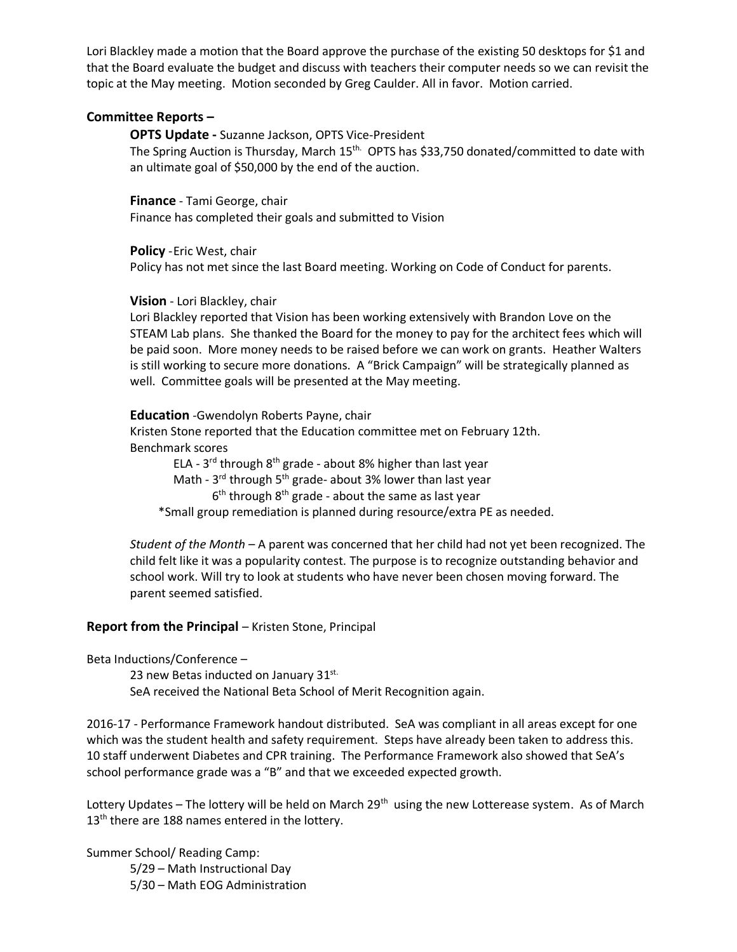Lori Blackley made a motion that the Board approve the purchase of the existing 50 desktops for \$1 and that the Board evaluate the budget and discuss with teachers their computer needs so we can revisit the topic at the May meeting. Motion seconded by Greg Caulder. All in favor. Motion carried.

#### **Committee Reports –**

**OPTS Update -** Suzanne Jackson, OPTS Vice-President The Spring Auction is Thursday, March 15<sup>th.</sup> OPTS has \$33,750 donated/committed to date with an ultimate goal of \$50,000 by the end of the auction.

**Finance** - Tami George, chair Finance has completed their goals and submitted to Vision

**Policy** -Eric West, chair

Policy has not met since the last Board meeting. Working on Code of Conduct for parents.

#### **Vision** - Lori Blackley, chair

Lori Blackley reported that Vision has been working extensively with Brandon Love on the STEAM Lab plans. She thanked the Board for the money to pay for the architect fees which will be paid soon. More money needs to be raised before we can work on grants. Heather Walters is still working to secure more donations. A "Brick Campaign" will be strategically planned as well. Committee goals will be presented at the May meeting.

### **Education** -Gwendolyn Roberts Payne, chair

Kristen Stone reported that the Education committee met on February 12th. Benchmark scores

ELA - 3<sup>rd</sup> through 8<sup>th</sup> grade - about 8% higher than last year Math - 3<sup>rd</sup> through 5<sup>th</sup> grade- about 3% lower than last year  $\sim$  6  $6<sup>th</sup>$  through  $8<sup>th</sup>$  grade - about the same as last year \*Small group remediation is planned during resource/extra PE as needed.

*Student of the Month* – A parent was concerned that her child had not yet been recognized. The child felt like it was a popularity contest. The purpose is to recognize outstanding behavior and school work. Will try to look at students who have never been chosen moving forward. The parent seemed satisfied.

## **Report from the Principal** – Kristen Stone, Principal

Beta Inductions/Conference –

23 new Betas inducted on January  $31^{st.}$ SeA received the National Beta School of Merit Recognition again.

2016-17 - Performance Framework handout distributed. SeA was compliant in all areas except for one which was the student health and safety requirement. Steps have already been taken to address this. 10 staff underwent Diabetes and CPR training. The Performance Framework also showed that SeA's school performance grade was a "B" and that we exceeded expected growth.

Lottery Updates – The lottery will be held on March 29<sup>th</sup> using the new Lotterease system. As of March 13<sup>th</sup> there are 188 names entered in the lottery.

Summer School/ Reading Camp:

5/29 – Math Instructional Day 5/30 – Math EOG Administration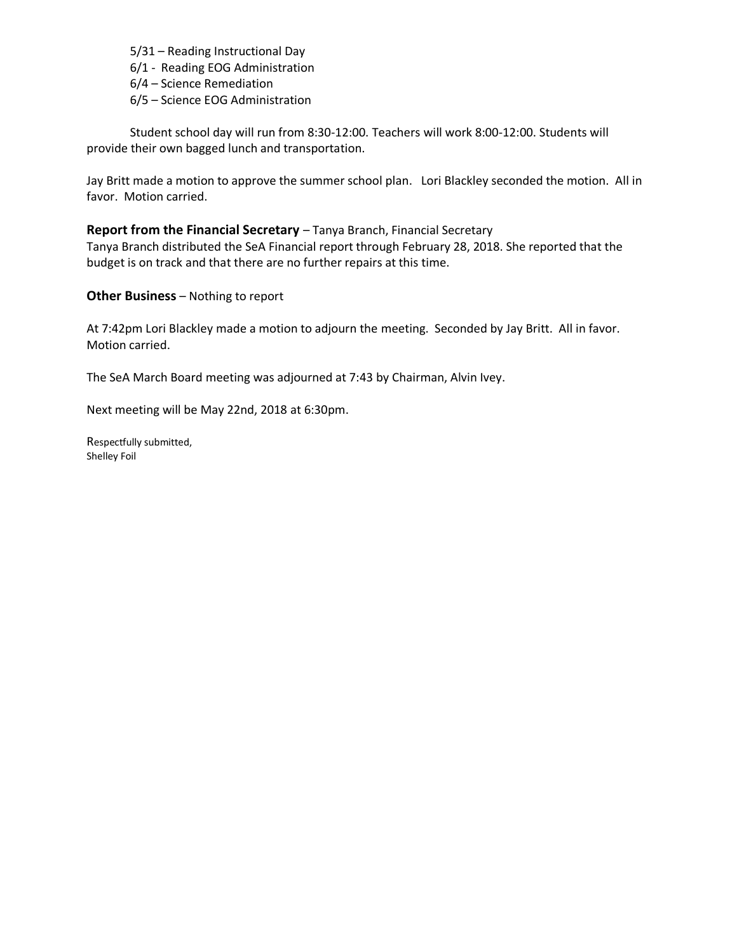5/31 – Reading Instructional Day

6/1 - Reading EOG Administration

6/4 – Science Remediation

6/5 – Science EOG Administration

Student school day will run from 8:30-12:00. Teachers will work 8:00-12:00. Students will provide their own bagged lunch and transportation.

Jay Britt made a motion to approve the summer school plan. Lori Blackley seconded the motion. All in favor. Motion carried.

**Report from the Financial Secretary** – Tanya Branch, Financial Secretary Tanya Branch distributed the SeA Financial report through February 28, 2018. She reported that the budget is on track and that there are no further repairs at this time.

**Other Business** – Nothing to report

At 7:42pm Lori Blackley made a motion to adjourn the meeting. Seconded by Jay Britt. All in favor. Motion carried.

The SeA March Board meeting was adjourned at 7:43 by Chairman, Alvin Ivey.

Next meeting will be May 22nd, 2018 at 6:30pm.

Respectfully submitted, Shelley Foil